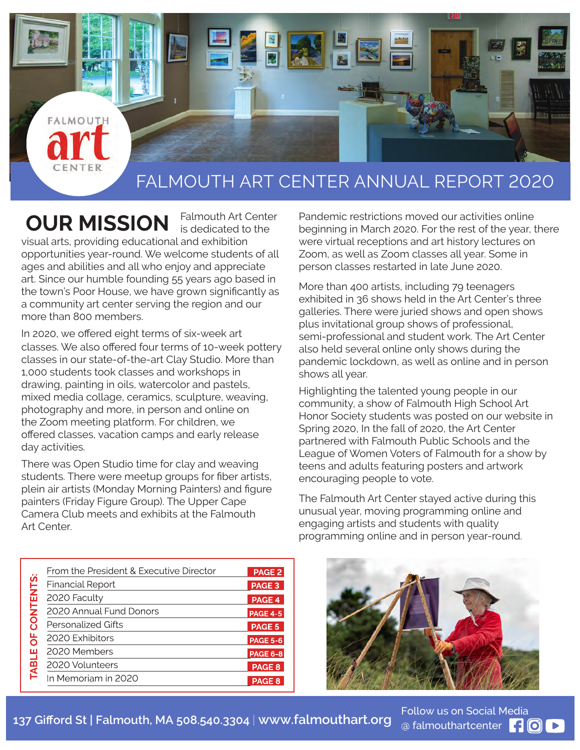## FALMOUTH ART CENTER ANNUAL REPORT 2020

# **OUR MISSION**

**FALMOUTH** 

Falmouth Art Center is dedicated to the

visual arts, providing educational and exhibition opportunities year-round. We welcome students of all ages and abilities and all who enjoy and appreciate art. Since our humble founding 55 years ago based in the town's Poor House, we have grown significantly as a community art center serving the region and our more than 800 members.

In 2020, we offered eight terms of six-week art classes. We also offered four terms of 10-week pottery classes in our state-of-the-art Clay Studio. More than 1,000 students took classes and workshops in drawing, painting in oils, watercolor and pastels, mixed media collage, ceramics, sculpture, weaving, photography and more, in person and online on the Zoom meeting platform. For children, we offered classes, vacation camps and early release day activities.

There was Open Studio time for clay and weaving students. There were meetup groups for fiber artists, plein air artists (Monday Morning Painters) and figure painters (Friday Figure Group). The Upper Cape Camera Club meets and exhibits at the Falmouth Art Center.

Pandemic restrictions moved our activities online beginning in March 2020. For the rest of the year, there were virtual receptions and art history lectures on Zoom, as well as Zoom classes all year. Some in person classes restarted in late June 2020.

More than 400 artists, including 79 teenagers exhibited in 36 shows held in the Art Center's three galleries. There were juried shows and open shows plus invitational group shows of professional, semi-professional and student work. The Art Center also held several online only shows during the pandemic lockdown, as well as online and in person shows all year.

Highlighting the talented young people in our community, a show of Falmouth High School Art Honor Society students was posted on our website in Spring 2020, In the fall of 2020, the Art Center partnered with Falmouth Public Schools and the League of Women Voters of Falmouth for a show by teens and adults featuring posters and artwork encouraging people to vote.

The Falmouth Art Center stayed active during this unusual year, moving programming online and engaging artists and students with quality programming online and in person year-round.

|              | From the President & Executive Director |                 | PAGE 2 |
|--------------|-----------------------------------------|-----------------|--------|
| CONTENTS:    | <b>Financial Report</b>                 | PAGE 3          |        |
|              | 2020 Faculty                            | PAGE 4          |        |
|              | 2020 Annual Fund Donors                 | <b>PAGE 4-5</b> |        |
|              | <b>Personalized Gifts</b>               | PAGE 5          |        |
| Ъ            | 2020 Exhibitors                         | <b>PAGE 5-6</b> |        |
|              | 2020 Members                            | <b>PAGE 6-8</b> |        |
| <b>TABLE</b> | 2020 Volunteers                         |                 | PAGE 8 |
|              | In Memoriam in 2020                     | PAGE 8          |        |
|              |                                         |                 |        |



Follow us on Social Media<br>137 Gifford St | Falmouth, MA 508.540.3304 | www.falmouthart.org

a falmouthartcenter for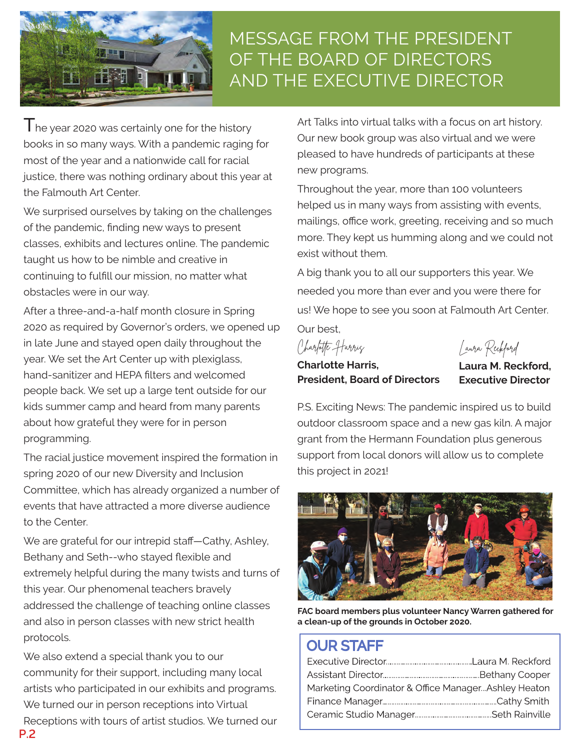

# MESSAGE FROM THE PRESIDENT OF THE BOARD OF DIRECTORS AND THE EXECUTIVE DIRECTOR

 $\blacksquare$  he year 2020 was certainly one for the history books in so many ways. With a pandemic raging for most of the year and a nationwide call for racial justice, there was nothing ordinary about this year at the Falmouth Art Center.

We surprised ourselves by taking on the challenges of the pandemic, finding new ways to present classes, exhibits and lectures online. The pandemic taught us how to be nimble and creative in continuing to fulfill our mission, no matter what obstacles were in our way.

After a three-and-a-half month closure in Spring 2020 as required by Governor's orders, we opened up in late June and stayed open daily throughout the year. We set the Art Center up with plexiglass, hand-sanitizer and HEPA filters and welcomed people back. We set up a large tent outside for our kids summer camp and heard from many parents about how grateful they were for in person programming.

The racial justice movement inspired the formation in spring 2020 of our new Diversity and Inclusion Committee, which has already organized a number of events that have attracted a more diverse audience to the Center.

We are grateful for our intrepid staff-Cathy, Ashley, Bethany and Seth--who stayed flexible and extremely helpful during the many twists and turns of this year. Our phenomenal teachers bravely addressed the challenge of teaching online classes and also in person classes with new strict health protocols.

We also extend a special thank you to our community for their support, including many local artists who participated in our exhibits and programs. We turned our in person receptions into Virtual Receptions with tours of artist studios. We turned our Art Talks into virtual talks with a focus on art history. Our new book group was also virtual and we were pleased to have hundreds of participants at these new programs.

Throughout the year, more than 100 volunteers helped us in many ways from assisting with events, mailings, office work, greeting, receiving and so much more. They kept us humming along and we could not exist without them.

A big thank you to all our supporters this year. We needed you more than ever and you were there for us! We hope to see you soon at Falmouth Art Center.

Our best,

Charlotte Harring

Laura Reckford

**Charlotte Harris, President, Board of Directors**

**Laura M. Reckford, Executive Director**

P.S. Exciting News: The pandemic inspired us to build outdoor classroom space and a new gas kiln. A major grant from the Hermann Foundation plus generous support from local donors will allow us to complete this project in 2021!



**FAC board members plus volunteer Nancy Warren gathered for a clean-up of the grounds in October 2020.**

## **OUR STAFF**

| Marketing Coordinator & Office ManagerAshley Heaton |  |  |  |
|-----------------------------------------------------|--|--|--|
|                                                     |  |  |  |
|                                                     |  |  |  |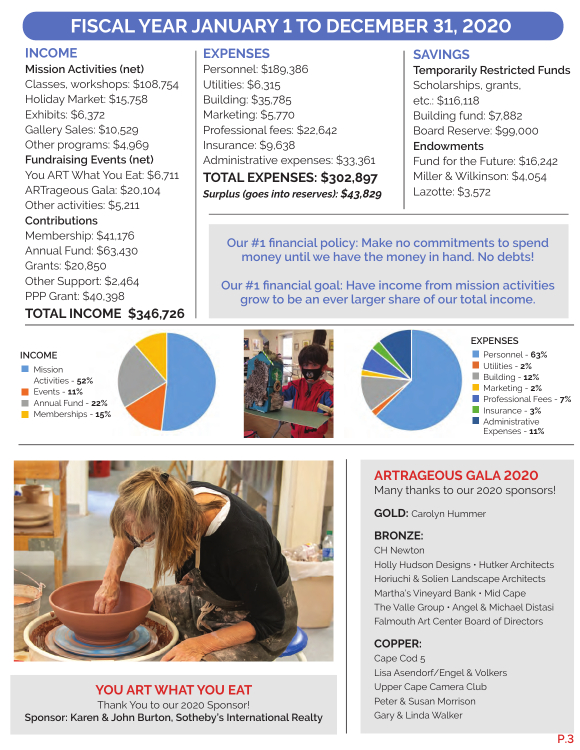## **FISCAL YEAR JANUARY 1 TO DECEMBER 31, 2020**

### **INCOME**

**Mission Activities (net)** Classes, workshops: \$108,754 Holiday Market: \$15,758 Exhibits: \$6,372 Gallery Sales: \$10,529 Other programs: \$4,969 **Fundraising Events (net)** You ART What You Eat: \$6,711 ARTrageous Gala: \$20,104 Other activities: \$5,211 **Contributions** Membership: \$41,176 Annual Fund: \$63,430 Grants: \$20,850 Other Support: \$2,464 PPP Grant: \$40,398 **TOTAL INCOME \$346,726**

### **EXPENSES**

Personnel: \$189,386 Utilities: \$6,315 Building: \$35,785 Marketing: \$5,770 Professional fees: \$22,642 Insurance: \$9,638 Administrative expenses: \$33,361 **TOTAL EXPENSES: \$302,897**

*Surplus (goes into reserves): \$43,829*

## **SAVINGS**

**Temporarily Restricted Funds** Scholarships, grants, etc.: \$116,118 Building fund: \$7,882 Board Reserve: \$99,000 **Endowments** Fund for the Future: \$16,242 Miller & Wilkinson: \$4,054 Lazotte: \$3,572

**Our #1 financial policy: Make no commitments to spend money until we have the money in hand. No debts!**

**Our #1 financial goal: Have income from mission activities grow to be an ever larger share of our total income.**

### **INCOME**

**Mission** Activities - **52%** Events - **11%** Annual Fund - **22%** Memberships - **15%**





### **EXPENSES**





**YOU ART WHAT YOU EAT** Thank You to our 2020 Sponsor! **Sponsor: Karen & John Burton, Sotheby's International Realty** **ARTRAGEOUS GALA 2020**

Many thanks to our 2020 sponsors!

**GOLD:** Carolyn Hummer

### **BRONZE:**

CH Newton

Holly Hudson Designs • Hutker Architects Horiuchi & Solien Landscape Architects Martha's Vineyard Bank • Mid Cape The Valle Group • Angel & Michael Distasi Falmouth Art Center Board of Directors

### **COPPER:**

Cape Cod 5 Lisa Asendorf/Engel & Volkers Upper Cape Camera Club Peter & Susan Morrison Gary & Linda Walker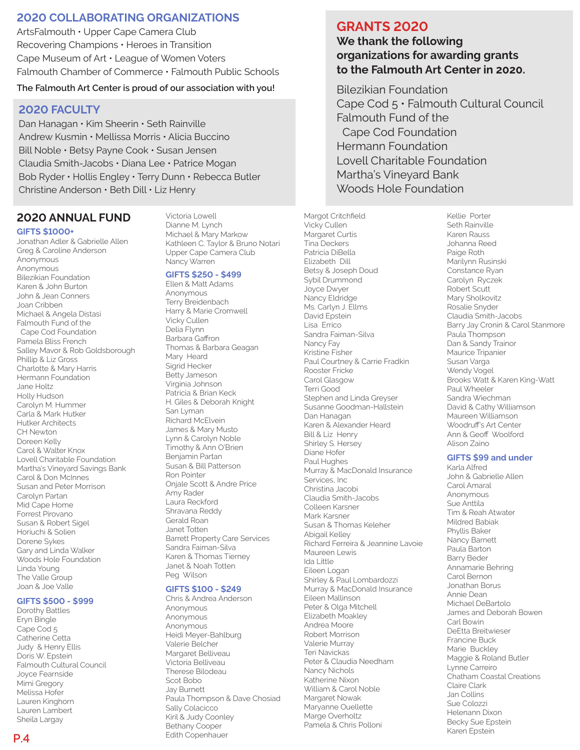### **2020 COLLABORATING ORGANIZATIONS**

ArtsFalmouth • Upper Cape Camera Club Recovering Champions • Heroes in Transition Cape Museum of Art • League of Women Voters Falmouth Chamber of Commerce • Falmouth Public Schools **The Falmouth Art Center is proud of our association with you!**

### **2020 FACULTY**

Dan Hanagan • Kim Sheerin • Seth Rainville Andrew Kusmin • Mellissa Morris • Alicia Buccino Bill Noble • Betsy Payne Cook • Susan Jensen Claudia Smith-Jacobs • Diana Lee • Patrice Mogan Bob Ryder • Hollis Engley • Terry Dunn • Rebecca Butler Christine Anderson • Beth Dill • Liz Henry

### **2020 ANNUAL FUND**

### **GIFTS \$1000+**

Jonathan Adler & Gabrielle Allen Greg & Caroline Anderson Anonymous Anonymous Bilezikian Foundation Karen & John Burton John & Jean Conners Joan Cribben Michael & Angela Distasi Falmouth Fund of the Cape Cod Foundation Pamela Bliss French Salley Mavor & Rob Goldsborough Phillip & Liz Gross Charlotte & Mary Harris Hermann Foundation Jane Holtz Holly Hudson Carolyn M. Hummer Carla & Mark Hutker Hutker Architects CH Newton Doreen Kelly Carol & Walter Knox Lovell Charitable Foundation Martha's Vineyard Savings Bank Carol & Don McInnes Susan and Peter Morrison Carolyn Partan Mid Cape Home Forrest Pirovano Susan & Robert Sigel Horiuchi & Solien Dorene Sykes Gary and Linda Walker Woods Hole Foundation Linda Young The Valle Group Joan & Joe Valle

### **GIFTS \$500 - \$999**

Dorothy Battles Eryn Bingle Cape Cod 5 Catherine Cetta Judy & Henry Ellis Doris W. Epstein Falmouth Cultural Council Joyce Fearnside Mimi Gregory Melissa Hofer Lauren Kinghorn Lauren Lambert Sheila Largay

#### Victoria Lowell Dianne M. Lynch Michael & Mary Markow Kathleen C. Taylor & Bruno Notari Upper Cape Camera Club Nancy Warren

### **GIFTS \$250 - \$499**

Ellen & Matt Adams Anonymous Terry Breidenbach Harry & Marie Cromwell Vicky Cullen Delia Flynn Barbara Gaffron Thomas & Barbara Geagan Mary Heard Sigrid Hecker Betty Jameson Virginia Johnson Patricia & Brian Keck H. Giles & Deborah Knight San Lyman Richard McElvein James & Mary Musto Lynn & Carolyn Noble Timothy & Ann O'Brien Benjamin Partan Susan & Bill Patterson Ron Pointer Onjale Scott & Andre Price Amy Rader Laura Reckford Shravana Reddy Gerald Roan Janet Totten Barrett Property Care Services Sandra Faiman-Silva Karen & Thomas Tierney Janet & Noah Totten Peg Wilson

### **GIFTS \$100 - \$249**

Chris & Andrea Anderson Anonymous Anonymous Anonymous Heidi Meyer-Bahlburg Valerie Belcher Margaret Belliveau Victoria Belliveau Therese Bilodeau Scot Bobo Jay Burnett Paula Thompson & Dave Chosiad Sally Colacicco Kiril & Judy Coonley Bethany Cooper Edith Copenhauer

### **GRANTS 2020**

### **We thank the following organizations for awarding grants to the Falmouth Art Center in 2020.**

Bilezikian Foundation Cape Cod 5 • Falmouth Cultural Council Falmouth Fund of the Cape Cod Foundation Hermann Foundation Lovell Charitable Foundation Martha's Vineyard Bank Woods Hole Foundation

Margot Critchfield Vicky Cullen Margaret Curtis Tina Deckers Patricia DiBella Elizabeth Dill Betsy & Joseph Doud Sybil Drummond Joyce Dwyer Nancy Eldridge Ms. Carlyn J. Ellms David Epstein Lisa Errico Sandra Faiman-Silva Nancy Fay Kristine Fisher Paul Courtney & Carrie Fradkin Rooster Fricke Carol Glasgow Terri Good Stephen and Linda Greyser Susanne Goodman-Hallstein Dan Hanagan Karen & Alexander Heard Bill & Liz Henry Shirley S. Hersey Diane Hofer Paul Hughes Murray & MacDonald Insurance Services, Inc Christina Jacobi Claudia Smith-Jacobs Colleen Karsner Mark Karsner Susan & Thomas Keleher Abigail Kelley Richard Ferreira & Jeannine Lavoie Maureen Lewis Ida Little Eileen Logan Shirley & Paul Lombardozzi Murray & MacDonald Insurance Eileen Mallinson Peter & Olga Mitchell Elizabeth Moakley Andrea Moore Robert Morrison Valerie Murray Teri Navickas Peter & Claudia Needham Nancy Nichols Katherine Nixon William & Carol Noble Margaret Nowak Maryanne Ouellette Marge Overholtz Pamela & Chris Polloni

Kellie Porter Seth Rainville Karen Rauss Johanna Reed Paige Roth Marilynn Rusinski Constance Ryan Carolyn Ryczek Robert Scutt Mary Sholkovitz Rosalie Snyder Claudia Smith-Jacobs Barry Jay Cronin & Carol Stanmore Paula Thompson Dan & Sandy Trainor Maurice Tripanier Susan Varga Wendy Vogel Brooks Watt & Karen King-Watt Paul Wheeler Sandra Wiechman David & Cathy Williamson Maureen Williamson Woodruff's Art Center Ann & Geoff Woolford Alison Zaino

### **GIFTS \$99 and under**

Karla Alfred John & Gabrielle Allen Carol Amaral Anonymous Sue Anttila Tim & Reah Atwater Mildred Babiak Phyllis Baker Nancy Barnett Paula Barton Barry Beder Annamarie Behring Carol Bernon Jonathan Borus Annie Dean Michael DeBartolo James and Deborah Bowen Carl Bowin DeEtta Breitwieser Francine Buck Marie Buckley Maggie & Roland Butler Lynne Carreiro Chatham Coastal Creations Claire Clark Jan Collins Sue Colozzi Helenann Dixon Becky Sue Epstein Karen Epstein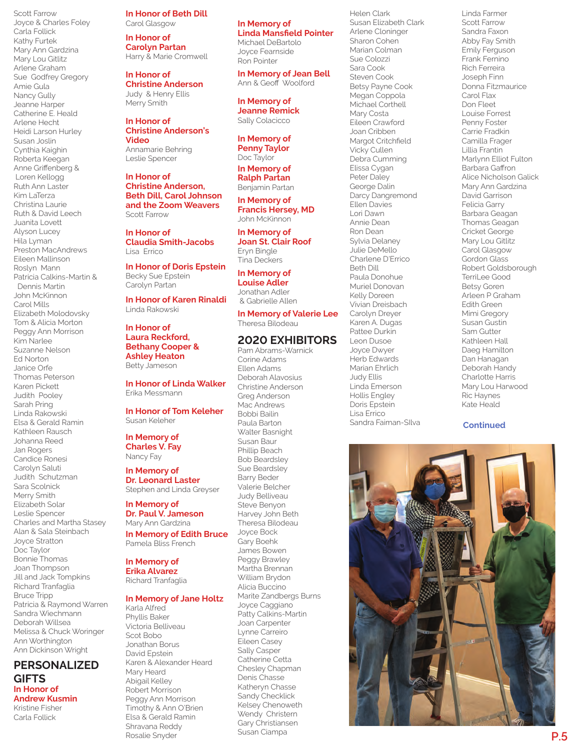Scott Farrow Joyce & Charles Foley Carla Follick Kathy Furtek Mary Ann Gardzina Mary Lou Gitlitz Arlene Graham Sue Godfrey Gregory Amie Gula Nancy Gully Jeanne Harper Catherine E. Heald Arlene Hecht Heidi Larson Hurley Susan Joslin Cynthia Kaighin Roberta Keegan Anne Griffenberg & Loren Kellogg Ruth Ann Laster Kim LaTerza Christina Laurie Ruth & David Leech Juanita Lovett Alyson Lucey Hila Lyman Preston MacAndrews Eileen Mallinson Roslyn Mann Patricia Calkins-Martin & Dennis Martin John McKinnon Carol Mills Elizabeth Molodovsky Tom & Alicia Morton Peggy Ann Morrison Kim Narlee Suzanne Nelson Ed Norton Janice Orfe Thomas Peterson Karen Pickett Judith Pooley Sarah Pring Linda Rakowski Elsa & Gerald Ramin Kathleen Rausch Johanna Reed Jan Rogers Candice Ronesi Carolyn Saluti Judith Schutzman Sara Scolnick Merry Smith Elizabeth Solar Leslie Spencer Charles and Martha Stasey Alan & Sala Steinbach Joyce Stratton Doc Taylor Bonnie Thomas Joan Thompson Jill and Jack Tompkins Richard Tranfaglia Bruce Tripp Patricia & Raymond Warren Sandra Wiechmann Deborah Willsea Melissa & Chuck Woringer Ann Worthington Ann Dickinson Wright

### **PERSONALIZED GIFTS In Honor of Andrew Kusmin**

Kristine Fisher Carla Follick

**In Honor of Beth Dill** Carol Glasgow

**In Honor of Carolyn Partan** Harry & Marie Cromwell

**In Honor of Christine Anderson** Judy & Henry Ellis Merry Smith

### **In Honor of Christine Anderson's Video** Annamarie Behring

Leslie Spencer

**In Honor of Christine Anderson, Beth Dill, Carol Johnson and the Zoom Weavers** Scott Farrow

**In Honor of Claudia Smith-Jacobs** Lisa Errico

**In Honor of Doris Epstein** Becky Sue Epstein Carolyn Partan

**In Honor of Karen Rinaldi** Linda Rakowski

**In Honor of Laura Reckford, Bethany Cooper & Ashley Heaton** Betty Jameson

**In Honor of Linda Walker** Erika Messmann

**In Honor of Tom Keleher** Susan Keleher

#### **In Memory of Charles V. Fay** Nancy Fay

**In Memory of Dr. Leonard Laster** Stephen and Linda Greyser

**In Memory of Dr. Paul V. Jameson** Mary Ann Gardzina

**In Memory of Edith Bruce** Pamela Bliss French

**In Memory of Erika Alvarez** Richard Tranfaglia

### **In Memory of Jane Holtz**

Karla Alfred Phyllis Baker Victoria Belliveau Scot Bobo Jonathan Borus David Epstein Karen & Alexander Heard Mary Heard Abigail Kelley Robert Morrison Peggy Ann Morrison Timothy & Ann O'Brien Elsa & Gerald Ramin Shravana Reddy Rosalie Snyder

**In Memory of Linda Mansfield Pointer**  Michael DeBartolo Joyce Fearnside Ron Pointer

**In Memory of Jean Bell** Ann & Geoff Woolford

**In Memory of Jeanne Remick** Sally Colacicco

**In Memory of Penny Taylor** Doc Taylor

**In Memory of Ralph Partan** Benjamin Partan

**In Memory of Francis Hersey, MD** John McKinnon

**In Memory of Joan St. Clair Roof** Eryn Bingle Tina Deckers

**In Memory of Louise Adler** Jonathan Adler & Gabrielle Allen

### **In Memory of Valerie Lee** Theresa Bilodeau

#### **2020 EXHIBITORS** Pam Abrams-Warnick

Corine Adams Ellen Adams Deborah Alavosius Christine Anderson Greg Anderson Mac Andrews Bobbi Bailin Paula Barton Walter Basnight Susan Baur Phillip Beach Bob Beardsley Sue Beardsley Barry Beder Valerie Belcher Judy Belliveau Steve Benyon Harvey John Beth Theresa Bilodeau Joyce Bock Gary Boehk James Bowen Peggy Brawley Martha Brennan William Brydon Alicia Buccino Marite Zandbergs Burns Joyce Caggiano Patty Calkins-Martin Joan Carpenter Lynne Carreiro Eileen Casey Sally Casper Catherine Cetta Chesley Chapman Denis Chasse Katheryn Chasse Sandy Checklick Kelsey Chenoweth Wendy Christern Gary Christiansen Susan Ciampa

Helen Clark Susan Elizabeth Clark Arlene Cloninger Sharon Cohen Marian Colman Sue Colozzi Sara Cook Steven Cook Betsy Payne Cook Megan Coppola Michael Corthell Mary Costa Eileen Crawford Joan Cribben Margot Critchfield Vicky Cullen Debra Cumming Elissa Cygan Peter Daley George Dalin Darcy Dangremond Ellen Davies Lori Dawn Annie Dean Ron Dean Sylvia Delaney Julie DeMello Charlene D'Errico Beth Dill Paula Donohue Muriel Donovan Kelly Doreen Vivian Dreisbach Carolyn Dreyer Karen A. Dugas Pattee Durkin Leon Dusoe Joyce Dwyer Herb Edwards Marian Ehrlich Judy Ellis Linda Emerson Hollis Engley Doris Epstein Lisa Errico Sandra Faiman-SIlva

Linda Farmer Scott Farrow Sandra Faxon Abby Fay Smith Emily Ferguson Frank Fernino Rich Ferreira Joseph Finn Donna Fitzmaurice Carol Flax Don Fleet Louise Forrest Penny Foster Carrie Fradkin Camilla Frager Lillia Frantin Marlynn Elliot Fulton Barbara Gaffron Alice Nicholson Galick Mary Ann Gardzina David Garrison Felicia Garry Barbara Geagan Thomas Geagan Cricket George Mary Lou Gitlitz Carol Glasgow Gordon Glass Robert Goldsborough TerriLee Good Betsy Goren Arleen P Graham Edith Green Mimi Gregory Susan Gustin Sam Gutter Kathleen Hall Daeg Hamilton Dan Hanagan Deborah Handy Charlotte Harris Mary Lou Harwood Ric Haynes Kate Heald

### **Continued**

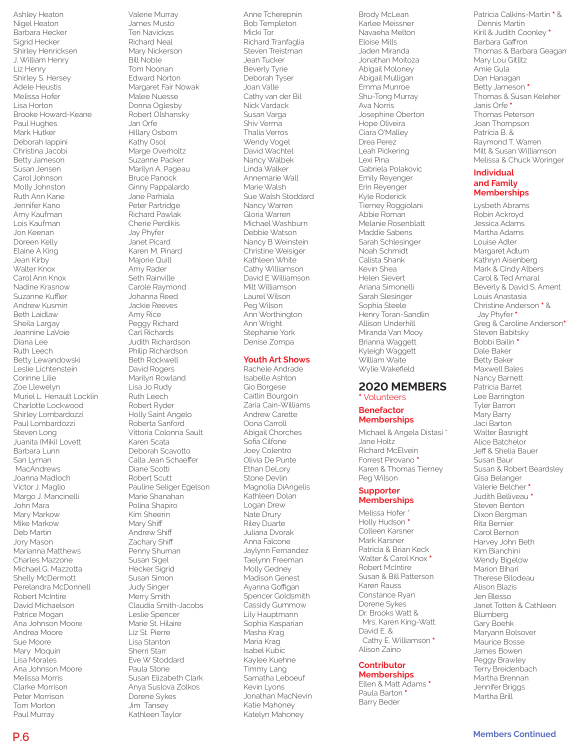Ashley Heaton Nigel Heaton Barbara Hecker Sigrid Hecker Shirley Henricksen J. William Henry Liz Henry Shirley S. Hersey Adele Heustis Melissa Hofer Lisa Horton Brooke Howard-Keane Paul Hughes Mark Hutker Deborah Iappini Christina Jacobi Betty Jameson Susan Jensen Carol Johnson Molly Johnston Ruth Ann Kane Jennifer Kano Amy Kaufman Lois Kaufman Jon Keenan Doreen Kelly Elaine A King Jean Kirby Walter Knox Carol Ann Knox Nadine Krasnow Suzanne Kuffler Andrew Kusmin Beth Laidlaw Sheila Largay Jeannine LaVoie Diana Lee Ruth Leech Betty Lewandowski Leslie Lichtenstein Corinne Lilie Zoe Llewelyn Muriel L. Henault Locklin Charlotte Lockwood Shirley Lombardozzi Paul Lombardozzi Steven Long Juanita (Miki) Lovett Barbara Lunn San Lyman MacAndrews Joanna Madloch Victor J. Maglio Margo J. Mancinelli John Mara Mary Markow Mike Markow Deb Martin Jory Mason Marianna Matthews Charles Mazzone Michael G. Mazzotta Shelly McDermott Perelandra McDonnell Robert McIntire David Michaelson Patrice Mogan Ana Johnson Moore Andrea Moore Sue Moore Mary Moquin Lisa Morales Ana Johnson Moore Melissa Morris Clarke Morrison Peter Morrison Tom Morton Paul Murray

Valerie Murray James Musto Teri Navickas Richard Neal Mary Nickerson Bill Noble Tom Noonan Edward Norton Margaret Fair Nowak Malee Nuesse Donna Oglesby Robert Olshansky Jan Orfe Hillary Osborn Kathy Osol Marge Overholtz Suzanne Packer Marilyn A. Pageau Bruce Panock Ginny Pappalardo Jane Parhiala Peter Partridge Richard Pawlak Cherie Perdikis Jay Phyfer Janet Picard Karen M. Pinard Majorie Quill Amy Rader Seth Rainville Carole Raymond Johanna Reed Jackie Reeves Amy Rice Peggy Richard Carl Richards Judith Richardson Philip Richardson Beth Rockwell David Rogers Marilyn Rowland Lisa Jo Rudy Ruth Leech Robert Ryder Holly Saint Angelo Roberta Sanford Vittoria Colonna Sault Karen Scata Deborah Scavotto Calla Jean Schaeffer Diane Scotti Robert Scutt Pauline Seliger Egelson Marie Shanahan Polina Shapiro Kim Sheerin Mary Shiff Andrew Shiff Zachary Shiff Penny Shuman Susan Sigel Hecker Sigrid Susan Simon Judy Singer Merry Smith Claudia Smith-Jacobs Leslie Spencer Marie St. Hilaire Liz St. Pierre Lisa Stanton Sherri Starr Eve W Stoddard Paula Stone Susan Elizabeth Clark Anya Suslova Zolkos Dorene Sykes Jim Tansey Kathleen Taylor

Anne Tcherepnin Bob Templeton Micki Tor Richard Tranfaglia Steven Treistman Jean Tucker Beverly Tyrie Deborah Tyser Joan Valle Cathy van der Bil Nick Vardack Susan Varga Shiv Verma Thalia Verros Wendy Vogel David Wachtel Nancy Walbek Linda Walker Annemarie Wall Marie Walsh Sue Walsh Stoddard Nancy Warren Gloria Warren Michael Washburn Debbie Watson Nancy B Weinstein Christine Weisiger Kathleen White Cathy Williamson David E Williamson Milt Williamson Laurel Wilson Peg Wilson Ann Worthington Ann Wright Stephanie York Denise Zompa

### **Youth Art Shows**

Rachele Andrade Isabelle Ashton Gio Borgese Caitlin Bourgoin Zaria Cain-Williams Andrew Carette Oona Carroll Abigail Chorches Sofia Cilfone Joey Colentro Olivia De Punte Ethan DeLory Stone Devlin Magnolia DiAngelis Kathleen Dolan Logan Drew Nate Drury Riley Duarte Juliana Dvorak Anna Falcone Jaylynn Fernandez Taelynn Freeman Molly Gedney Madison Genest Ayanna Goffigan Spencer Goldsmith Cassidy Gummow Lily Hauptmann Sophia Kasparian Masha Krag Maria Krag Isabel Kubic Kaylee Kuehne Timmy Lang Samatha Leboeuf Kevin Lyons Jonathan MacNevin Katie Mahoney Katelyn Mahoney

Brody McLean Karlee Meissner Navaeha Melton Eloise Mills Jaden Miranda Jonathan Moitoza Abigail Moloney Abigail Mulligan Emma Munroe Shu-Tong Murray Ava Norris Josephine Oberton Hope Oliveira Ciara O'Malley Drea Perez Leah Pickering Lexi Pina Gabriela Polakovic Emily Reyenger Erin Reyenger Kyle Roderick Tierney Roggiolani Abbie Roman Melanie Rosenblatt Maddie Sabens Sarah Schlesinger Noah Schmidt Calista Shank Kevin Shea Helen Sievert Ariana Simonelli Sarah Slesinger Sophia Steele Henry Toran-Sandlin Allison Underhill Miranda Van Mooy Brianna Waggett Kyleigh Waggett William Waite Wylie Wakefield

#### **2020 MEMBERS \*** Volunteers

### **Benefactor Memberships**

Michael & Angela Distasi \* Jane Holtz Richard McElvein Forrest Pirovano \* Karen & Thomas Tierney Peg Wilson

#### **Supporter Memberships**

Melissa Hofer \* Holly Hudson \* Colleen Karsner Mark Karsner Patricia & Brian Keck Walter & Carol Knox \* Robert McIntire Susan & Bill Patterson Karen Rauss Constance Ryan Dorene Sykes Dr. Brooks Watt & Mrs. Karen King-Watt David E. & Cathy E. Williamson \* Alison Zaino

### **Contributor Memberships**

Ellen & Matt Adams \* Paula Barton \* Barry Beder

Patricia Calkins-Martin \* & Dennis Martin Kiril & Judith Coonley \* Barbara Gaffron Thomas & Barbara Geagan Mary Lou Gitlitz Amie Gula Dan Hanagan Betty Jameson \* Thomas & Susan Keleher Janis Orfe \* Thomas Peterson Joan Thompson Patricia B. & Raymond T. Warren Milt & Susan Williamson Melissa & Chuck Woringer

### **Individual and Family Memberships**

Lysbeth Abrams Robin Ackroyd Jessica Adams Martha Adams Louise Adler Margaret Adlum Kathryn Aisenberg Mark & Cindy Albers Carol & Ted Amaral Beverly & David S. Ament Louis Anastasia Christine Anderson \* & Jay Phyfer \* Greg & Caroline Anderson\* Steven Babitsky Bobbi Bailin \* Dale Baker Betty Baker Maxwell Bales Nancy Barnett Patricia Barret Lee Barrington Tyler Barron Mary Barry Jaci Barton Walter Basnight Alice Batchelor Jeff & Shelia Bauer Susan Baur Susan & Robert Beardsley Gisa Belanger Valerie Belcher \* Judith Belliveau \* Steven Benton Dixon Bergman Rita Bernier Carol Bernon Harvey John Beth Kim Bianchini Wendy Bigelow Marion Bihari Therese Bilodeau Alison Blazis Jen Blesso Janet Totten & Cathleen Blumberg Gary Boehk Maryann Bolsover Maurice Bosse James Bowen Peggy Brawley Terry Breidenbach Martha Brennan Jennifer Briggs Martha Brill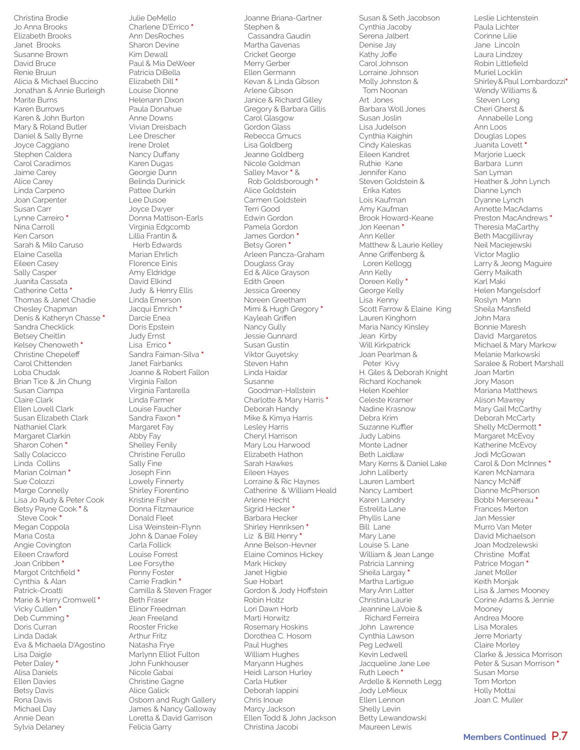Christina Brodie Jo Anna Brooks Elizabeth Brooks Janet Brooks Susanne Brown David Bruce Renie Bruun Alicia & Michael Buccino Jonathan & Annie Burleigh Marite Burns Karen Burrows Karen & John Burton Mary & Roland Butler Daniel & Sally Byrne Joyce Caggiano Stephen Caldera Carol Caradimos Jaime Carey Alice Carey Linda Carpeno Joan Carpenter Susan Carr Lynne Carreiro \* Nina Carroll Ken Carson Sarah & Milo Caruso Elaine Casella Eileen Casey Sally Casper Juanita Cassata Catherine Cetta \* Thomas & Janet Chadie Chesley Chapman Denis & Katheryn Chasse \* Sandra Checklick Betsey Cheitlin Kelsey Chenoweth \* Christine Chepeleff Carol Chittenden Loba Chudak Brian Tice & Jin Chung Susan Ciampa Claire Clark Ellen Lovell Clark Susan Elizabeth Clark Nathaniel Clark Margaret Clarkin Sharon Cohen \* Sally Colacicco Linda Collins Marian Colman \* Sue Colozzi Marge Connelly Lisa Jo Rudy & Peter Cook Betsy Payne Cook \* & Steve Cook \* Megan Coppola Maria Costa Angie Covington Eileen Crawford Joan Cribben \* Margot Critchfield \* Cynthia & Alan Patrick-Croatti Marie & Harry Cromwell \* Vicky Cullen \* Deb Cumming \* Doris Curran Linda Dadak Eva & Michaela D'Agostino Lisa Daigle Peter Daley \* Alisa Daniels Ellen Davies Betsy Davis Rona Davis Michael Day Annie Dean Sylvia Delaney

Julie DeMello Charlene D'Errico \* Ann DesRoches Sharon Devine Kim Dewall Paul & Mia DeWeer Patricia DiBella Elizabeth Dill \* Louise Dionne Helenann Dixon Paula Donahue Anne Downs Vivian Dreisbach Lee Drescher Irene Drolet Nancy Duffany Karen Dugas Georgie Dunn Belinda Durinick Pattee Durkin Lee Dusoe Joyce Dwyer Donna Mattison-Earls Virginia Edgcomb Lillia Frantin & Herb Edwards Marian Ehrlich Florence Einis Amy Eldridge David Elkind Judy & Henry Ellis Linda Emerson Jacqui Emrich \* Darcie Enea Doris Epstein Judy Ernst Lisa Errico \* Sandra Faiman-Silva \* Janet Fairbanks Joanne & Robert Fallon Virginia Fallon Virginia Fantarella Linda Farmer Louise Faucher Sandra Faxon \* Margaret Fay Abby Fay Shelley Fenily Christine Ferullo Sally Fine Joseph Finn Lowely Finnerty Shirley Fiorentino Kristine Fisher Donna Fitzmaurice Donald Fleet Lisa Weinstein-Flynn John & Danae Foley Carla Follick Louise Forrest Lee Forsythe Penny Foster Carrie Fradkin \* Camilla & Steven Frager Beth Fraser Elinor Freedman Jean Freeland Rooster Fricke Arthur Fritz Natasha Frye Marlynn Elliot Fulton John Funkhouser Nicole Gabai Christine Gagne Alice Galick Osborn and Rugh Gallery James & Nancy Galloway Loretta & David Garrison Felicia Garry

Joanne Briana-Gartner Stephen & Cassandra Gaudin Martha Gavenas Cricket George Merry Gerber Ellen Germann Kevan & Linda Gibson Arlene Gibson Janice & Richard Gilley Gregory & Barbara Gillis Carol Glasgow Gordon Glass Rebecca Gmucs Lisa Goldberg Jeanne Goldberg Nicole Goldman Salley Mavor \* & Rob Goldsborough \* Alice Goldstein Carmen Goldstein Terri Good Edwin Gordon Pamela Gordon James Gordon \* Betsy Goren \* Arleen Pancza-Graham Douglass Gray Ed & Alice Grayson Edith Green Jessica Greeney Noreen Greetham Mimi & Hugh Gregory \* Kayleah Griffen Nancy Gully Jessie Gunnard Susan Gustin Viktor Guyetsky Steven Hahn Linda Haidar Susanne Goodman-Hallstein Charlotte & Mary Harris \* Deborah Handy Mike & Kimya Harris Lesley Harris Cheryl Harrison Mary Lou Harwood Elizabeth Hathon Sarah Hawkes Eileen Hayes Lorraine & Ric Haynes Catherine & William Heald Arlene Hecht Sigrid Hecker \* Barbara Hecker Shirley Henriksen \* Liz & Bill Henry \* Anne Belson-Hevner Elaine Cominos Hickey Mark Hickey Janet Higbie Sue Hobart Gordon & Jody Hoffstein Robin Holtz Lori Dawn Horb Marti Horwitz Rosemary Hoskins Dorothea C. Hosom Paul Hughes William Hughes Maryann Hughes Heidi Larson Hurley Carla Hutker Deborah Iappini Chris Inoue Marcy Jackson Ellen Todd & John Jackson Christina Jacobi

Susan & Seth Jacobson Cynthia Jacoby Serena Jalbert Denise Jay Kathy Joffe Carol Johnson Lorraine Johnson Molly Johnston & Tom Noonan Art Jones Barbara Woll Jones Susan Joslin Lisa Judelson Cynthia Kaighin Cindy Kaleskas Eileen Kandret Ruthie Kane Jennifer Kano Steven Goldstein & Erika Kates Lois Kaufman Amy Kaufman Brook Howard-Keane Jon Keenan \* Ann Keller Matthew & Laurie Kelley Anne Griffenberg & Loren Kellogg Ann Kelly Doreen Kelly \* George Kelly Lisa Kenny Scott Farrow & Elaine King Lauren Kinghorn Maria Nancy Kinsley Jean Kirby Will Kirkpatrick Joan Pearlman & Peter Kivy H. Giles & Deborah Knight Richard Kochanek Helen Koehler Celeste Kramer Nadine Krasnow Debra Krim Suzanne Kuffler Judy Labins Monte Ladner Beth Laidlaw Mary Kerns & Daniel Lake John Laliberty Lauren Lambert Nancy Lambert Karen Landry Estrelita Lane Phyllis Lane Bill Lane Mary Lane Louise S. Lane William & Jean Lange Patricia Lanning Sheila Largay \* Martha Lartigue Mary Ann Latter Christina Laurie Jeannine LaVoie & Richard Ferreira John Lawrence Cynthia Lawson Peg Ledwell Kevin Ledwell Jacqueline Jane Lee Ruth Leech \* Ardelle & Kenneth Legg Jody LeMieux Ellen Lennon Shelly Levin Betty Lewandowski Maureen Lewis

Leslie Lichtenstein Paula Lichter Corinne Lilie Jane Lincoln Laura Lindzey Robin Littlefield Muriel Locklin Shirley & Paul Lombardozzi\* Wendy Williams & Steven Long Cheri Gherst & Annabelle Long Ann Loos Douglas Lopes Juanita Lovett \* Marjorie Lueck Barbara Lunn San Lyman Heather & John Lynch Dianne Lynch Dyanne Lynch Annette MacAdams Preston MacAndrews \* Theresia MaCarthy Beth Macgillivray Neil Maciejewski Victor Maglio Larry & Jeong Maguire Gerry Maikath Karl Maki Helen Mangelsdorf Roslyn Mann Sheila Mansfield John Mara Bonnie Maresh David Margaretos Michael & Mary Markow Melanie Markowski Saralee & Robert Marshall Joan Martin Jory Mason Mariana Matthews Alison Mawrey Mary Gail McCarthy Deborah McCarty Shelly McDermott \* Margaret McEvoy Katherine McEvoy Jodi McGowan Carol & Don McInnes \* Karen McNamara Nancy McNiff Dianne McPherson Bobbi Mersereau \* Frances Merton Jan Messier Murro Van Meter David Michaelson Joan Modzelewski Christine Moffat Patrice Mogan \* Janet Moller Keith Monjak Lisa & James Mooney Corine Adams & Jennie Mooney Andrea Moore Lisa Morales Jerre Moriarty Claire Morley Clarke & Jessica Morrison Peter & Susan Morrison \* Susan Morse Tom Morton Holly Mottai Joan C. Muller